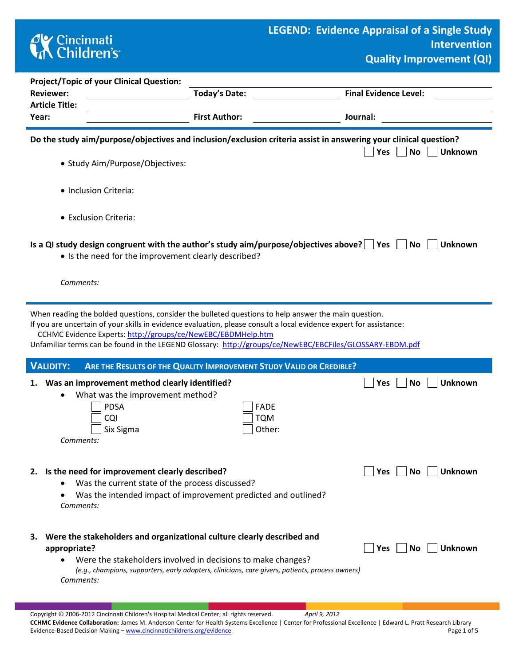## **CK** Cincinnati<br> **Children's**

'n

r

|                                                                                                                                                                                                                                                                                                                                                                                                                                                                                                                                                                                                                                                                                                                                                                                                                                                                                                                                                                                                                                                                                                                                                                                                                                                           | <b>Project/Topic of your Clinical Question:</b> |                      |                                    |  |  |  |  |  |  |
|-----------------------------------------------------------------------------------------------------------------------------------------------------------------------------------------------------------------------------------------------------------------------------------------------------------------------------------------------------------------------------------------------------------------------------------------------------------------------------------------------------------------------------------------------------------------------------------------------------------------------------------------------------------------------------------------------------------------------------------------------------------------------------------------------------------------------------------------------------------------------------------------------------------------------------------------------------------------------------------------------------------------------------------------------------------------------------------------------------------------------------------------------------------------------------------------------------------------------------------------------------------|-------------------------------------------------|----------------------|------------------------------------|--|--|--|--|--|--|
| <b>Reviewer:</b>                                                                                                                                                                                                                                                                                                                                                                                                                                                                                                                                                                                                                                                                                                                                                                                                                                                                                                                                                                                                                                                                                                                                                                                                                                          |                                                 | <b>Today's Date:</b> | <b>Final Evidence Level:</b>       |  |  |  |  |  |  |
|                                                                                                                                                                                                                                                                                                                                                                                                                                                                                                                                                                                                                                                                                                                                                                                                                                                                                                                                                                                                                                                                                                                                                                                                                                                           |                                                 |                      |                                    |  |  |  |  |  |  |
|                                                                                                                                                                                                                                                                                                                                                                                                                                                                                                                                                                                                                                                                                                                                                                                                                                                                                                                                                                                                                                                                                                                                                                                                                                                           |                                                 |                      |                                    |  |  |  |  |  |  |
|                                                                                                                                                                                                                                                                                                                                                                                                                                                                                                                                                                                                                                                                                                                                                                                                                                                                                                                                                                                                                                                                                                                                                                                                                                                           |                                                 |                      | <b>No</b><br><b>Unknown</b><br>Yes |  |  |  |  |  |  |
|                                                                                                                                                                                                                                                                                                                                                                                                                                                                                                                                                                                                                                                                                                                                                                                                                                                                                                                                                                                                                                                                                                                                                                                                                                                           |                                                 |                      |                                    |  |  |  |  |  |  |
|                                                                                                                                                                                                                                                                                                                                                                                                                                                                                                                                                                                                                                                                                                                                                                                                                                                                                                                                                                                                                                                                                                                                                                                                                                                           |                                                 |                      |                                    |  |  |  |  |  |  |
|                                                                                                                                                                                                                                                                                                                                                                                                                                                                                                                                                                                                                                                                                                                                                                                                                                                                                                                                                                                                                                                                                                                                                                                                                                                           |                                                 |                      |                                    |  |  |  |  |  |  |
|                                                                                                                                                                                                                                                                                                                                                                                                                                                                                                                                                                                                                                                                                                                                                                                                                                                                                                                                                                                                                                                                                                                                                                                                                                                           |                                                 |                      | No<br><b>Unknown</b>               |  |  |  |  |  |  |
|                                                                                                                                                                                                                                                                                                                                                                                                                                                                                                                                                                                                                                                                                                                                                                                                                                                                                                                                                                                                                                                                                                                                                                                                                                                           |                                                 |                      |                                    |  |  |  |  |  |  |
| When reading the bolded questions, consider the bulleted questions to help answer the main question.<br>If you are uncertain of your skills in evidence evaluation, please consult a local evidence expert for assistance:<br>CCHMC Evidence Experts: http://groups/ce/NewEBC/EBDMHelp.htm<br>Unfamiliar terms can be found in the LEGEND Glossary: http://groups/ce/NewEBC/EBCFiles/GLOSSARY-EBDM.pdf                                                                                                                                                                                                                                                                                                                                                                                                                                                                                                                                                                                                                                                                                                                                                                                                                                                    |                                                 |                      |                                    |  |  |  |  |  |  |
| <b>VALIDITY:</b>                                                                                                                                                                                                                                                                                                                                                                                                                                                                                                                                                                                                                                                                                                                                                                                                                                                                                                                                                                                                                                                                                                                                                                                                                                          |                                                 |                      |                                    |  |  |  |  |  |  |
| <b>Article Title:</b><br><b>First Author:</b><br>Journal:<br>Year:<br>Do the study aim/purpose/objectives and inclusion/exclusion criteria assist in answering your clinical question?<br>· Study Aim/Purpose/Objectives:<br>· Inclusion Criteria:<br>• Exclusion Criteria:<br>Is a QI study design congruent with the author's study aim/purpose/objectives above? $\Box$ Yes $\Box$<br>• Is the need for the improvement clearly described?<br>Comments:<br>ARE THE RESULTS OF THE QUALITY IMPROVEMENT STUDY VALID OR CREDIBLE?<br>1. Was an improvement method clearly identified?<br>Yes<br>What was the improvement method?<br><b>PDSA</b><br><b>FADE</b><br><b>CQI</b><br><b>TQM</b><br>Other:<br>Six Sigma<br>Comments:<br>2. Is the need for improvement clearly described?<br><b>Yes</b><br>Was the current state of the process discussed?<br>٠<br>Was the intended impact of improvement predicted and outlined?<br>٠<br>Comments:<br>Were the stakeholders and organizational culture clearly described and<br>з.<br>appropriate?<br><b>Yes</b><br>Were the stakeholders involved in decisions to make changes?<br>$\bullet$<br>(e.g., champions, supporters, early adopters, clinicians, care givers, patients, process owners)<br>Comments: |                                                 | <b>Unknown</b><br>No |                                    |  |  |  |  |  |  |
|                                                                                                                                                                                                                                                                                                                                                                                                                                                                                                                                                                                                                                                                                                                                                                                                                                                                                                                                                                                                                                                                                                                                                                                                                                                           |                                                 |                      | <b>Unknown</b><br>No.              |  |  |  |  |  |  |
|                                                                                                                                                                                                                                                                                                                                                                                                                                                                                                                                                                                                                                                                                                                                                                                                                                                                                                                                                                                                                                                                                                                                                                                                                                                           |                                                 |                      | <b>Unknown</b><br>No l             |  |  |  |  |  |  |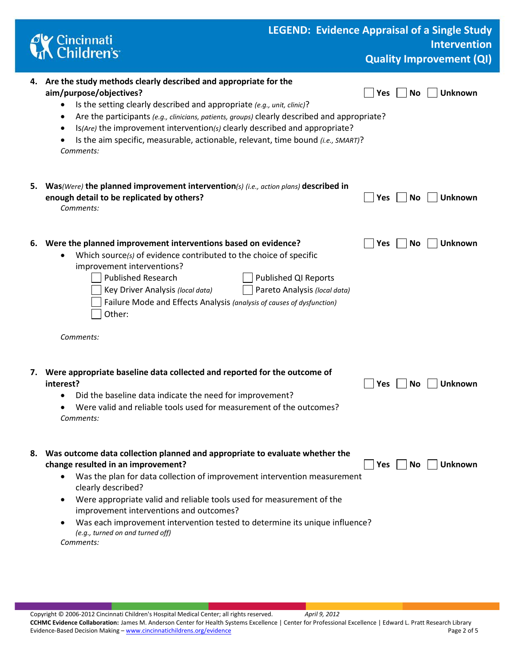|    | <b>CK</b> Cincinnati<br><b>Children's</b>                                                                                                                                                                                                                                                                                                                                                                                                                                                              | <b>LEGEND: Evidence Appraisal of a Single Study</b><br><b>Intervention</b><br><b>Quality Improvement (QI)</b> |
|----|--------------------------------------------------------------------------------------------------------------------------------------------------------------------------------------------------------------------------------------------------------------------------------------------------------------------------------------------------------------------------------------------------------------------------------------------------------------------------------------------------------|---------------------------------------------------------------------------------------------------------------|
|    | 4. Are the study methods clearly described and appropriate for the<br>aim/purpose/objectives?<br>Is the setting clearly described and appropriate (e.g., unit, clinic)?<br>٠<br>Are the participants (e.g., clinicians, patients, groups) clearly described and appropriate?<br>$\bullet$<br>Is(Are) the improvement intervention(s) clearly described and appropriate?<br>$\bullet$<br>Is the aim specific, measurable, actionable, relevant, time bound (i.e., SMART)?<br>Comments:                  | <b>Unknown</b><br>Yes<br>No                                                                                   |
| 5. | Was(Were) the planned improvement intervention(s) (i.e., action plans) described in<br>enough detail to be replicated by others?<br>Comments:                                                                                                                                                                                                                                                                                                                                                          | <b>Unknown</b><br>No<br><b>Yes</b>                                                                            |
|    | 6. Were the planned improvement interventions based on evidence?<br>Which source(s) of evidence contributed to the choice of specific<br>improvement interventions?<br><b>Published Research</b><br>Key Driver Analysis (local data)<br>Failure Mode and Effects Analysis (analysis of causes of dysfunction)<br>Other:<br>Comments:                                                                                                                                                                   | <b>Unknown</b><br>Yes<br><b>No</b><br><b>Published QI Reports</b><br>Pareto Analysis (local data)             |
| 7. | Were appropriate baseline data collected and reported for the outcome of<br>interest?<br>Did the baseline data indicate the need for improvement?<br>Were valid and reliable tools used for measurement of the outcomes?<br>Comments:                                                                                                                                                                                                                                                                  | Yes<br><b>Unknown</b><br>No                                                                                   |
| 8. | Was outcome data collection planned and appropriate to evaluate whether the<br>change resulted in an improvement?<br>Was the plan for data collection of improvement intervention measurement<br>$\bullet$<br>clearly described?<br>Were appropriate valid and reliable tools used for measurement of the<br>$\bullet$<br>improvement interventions and outcomes?<br>Was each improvement intervention tested to determine its unique influence?<br>٠<br>(e.g., turned on and turned off)<br>Comments: | $ Yes $ $ No$<br><b>Unknown</b>                                                                               |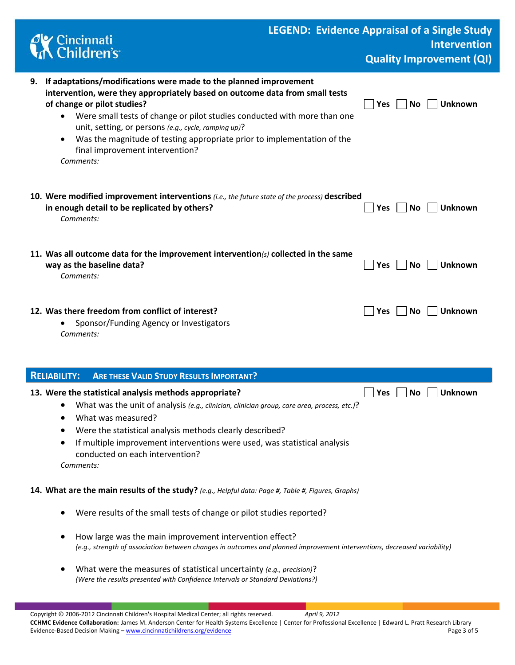| Cincinnati<br>KChildren's                                                                                                                                                                                                                                                                                                                                                                                                                                       |            | <b>LEGEND: Evidence Appraisal of a Single Study</b><br><b>Intervention</b> |  |  |  |  |  |
|-----------------------------------------------------------------------------------------------------------------------------------------------------------------------------------------------------------------------------------------------------------------------------------------------------------------------------------------------------------------------------------------------------------------------------------------------------------------|------------|----------------------------------------------------------------------------|--|--|--|--|--|
|                                                                                                                                                                                                                                                                                                                                                                                                                                                                 |            | <b>Quality Improvement (QI)</b>                                            |  |  |  |  |  |
| 9. If adaptations/modifications were made to the planned improvement<br>intervention, were they appropriately based on outcome data from small tests<br>of change or pilot studies?<br>Were small tests of change or pilot studies conducted with more than one<br>unit, setting, or persons (e.g., cycle, ramping up)?<br>Was the magnitude of testing appropriate prior to implementation of the<br>$\bullet$<br>final improvement intervention?<br>Comments: | Yes        | <b>Unknown</b><br>No                                                       |  |  |  |  |  |
| 10. Were modified improvement interventions (i.e., the future state of the process) described<br>in enough detail to be replicated by others?<br>Comments:                                                                                                                                                                                                                                                                                                      | Yes        | <b>Unknown</b><br>No                                                       |  |  |  |  |  |
| 11. Was all outcome data for the improvement intervention(s) collected in the same<br>way as the baseline data?<br>Comments:                                                                                                                                                                                                                                                                                                                                    | Yes        | <b>Unknown</b><br>No                                                       |  |  |  |  |  |
| 12. Was there freedom from conflict of interest?<br>Sponsor/Funding Agency or Investigators<br>Comments:                                                                                                                                                                                                                                                                                                                                                        | Yes        | <b>No</b><br><b>Unknown</b>                                                |  |  |  |  |  |
| <b>RELIABILITY:</b><br><b>ARE THESE VALID STUDY RESULTS IMPORTANT?</b>                                                                                                                                                                                                                                                                                                                                                                                          |            |                                                                            |  |  |  |  |  |
| 13. Were the statistical analysis methods appropriate?<br>What was the unit of analysis (e.g., clinician, clinician group, care area, process, etc.)?<br>What was measured?<br>Were the statistical analysis methods clearly described?<br>If multiple improvement interventions were used, was statistical analysis<br>conducted on each intervention?<br>Comments:                                                                                            | <b>Yes</b> | <b>Unknown</b><br>No                                                       |  |  |  |  |  |
| 14. What are the main results of the study? (e.g., Helpful data: Page #, Table #, Figures, Graphs)                                                                                                                                                                                                                                                                                                                                                              |            |                                                                            |  |  |  |  |  |
| Were results of the small tests of change or pilot studies reported?                                                                                                                                                                                                                                                                                                                                                                                            |            |                                                                            |  |  |  |  |  |
| How large was the main improvement intervention effect?<br>(e.g., strength of association between changes in outcomes and planned improvement interventions, decreased variability)                                                                                                                                                                                                                                                                             |            |                                                                            |  |  |  |  |  |
| What were the measures of statistical uncertainty (e.g., precision)?<br>(Were the results presented with Confidence Intervals or Standard Deviations?)                                                                                                                                                                                                                                                                                                          |            |                                                                            |  |  |  |  |  |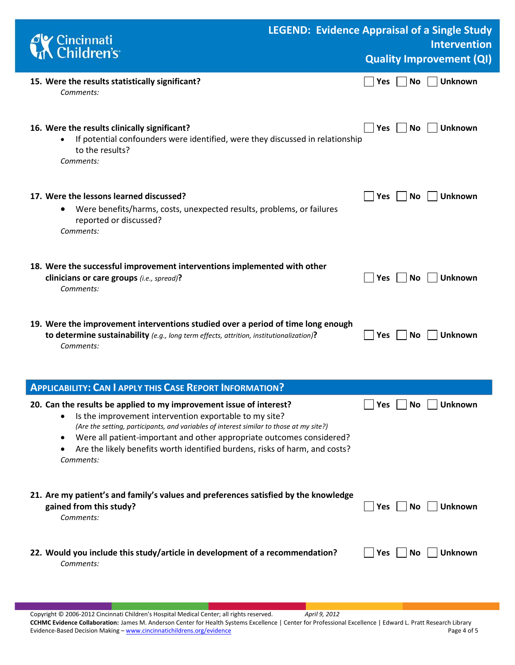| <b>Y</b> Cincinnati<br><b>K</b> Children's                                                                                                                                                                                                                                                                                                                                                                 | <b>LEGEND: Evidence Appraisal of a Single Study</b><br><b>Intervention</b> |
|------------------------------------------------------------------------------------------------------------------------------------------------------------------------------------------------------------------------------------------------------------------------------------------------------------------------------------------------------------------------------------------------------------|----------------------------------------------------------------------------|
|                                                                                                                                                                                                                                                                                                                                                                                                            | <b>Quality Improvement (QI)</b>                                            |
| 15. Were the results statistically significant?<br>Comments:                                                                                                                                                                                                                                                                                                                                               | <b>Unknown</b><br>No<br>Yes                                                |
| 16. Were the results clinically significant?<br>If potential confounders were identified, were they discussed in relationship<br>to the results?<br>Comments:                                                                                                                                                                                                                                              | <b>Yes</b><br><b>No</b><br><b>Unknown</b>                                  |
| 17. Were the lessons learned discussed?<br>Were benefits/harms, costs, unexpected results, problems, or failures<br>$\bullet$<br>reported or discussed?<br>Comments:                                                                                                                                                                                                                                       | <b>Unknown</b><br><b>No</b><br>Yes                                         |
| 18. Were the successful improvement interventions implemented with other<br>clinicians or care groups (i.e., spread)?<br>Comments:                                                                                                                                                                                                                                                                         | <b>Unknown</b><br><b>Yes</b><br><b>No</b>                                  |
| 19. Were the improvement interventions studied over a period of time long enough<br>to determine sustainability (e.g., long term effects, attrition, institutionalization)?<br>Comments:                                                                                                                                                                                                                   | <b>No</b><br><b>Unknown</b><br><b>Yes</b>                                  |
| <b>APPLICABILITY: CAN I APPLY THIS CASE REPORT INFORMATION?</b>                                                                                                                                                                                                                                                                                                                                            |                                                                            |
| 20. Can the results be applied to my improvement issue of interest?<br>Is the improvement intervention exportable to my site?<br>(Are the setting, participants, and variables of interest similar to those at my site?)<br>Were all patient-important and other appropriate outcomes considered?<br>$\bullet$<br>Are the likely benefits worth identified burdens, risks of harm, and costs?<br>Comments: | <b>Unknown</b><br>No.<br><b>Yes</b>                                        |
| 21. Are my patient's and family's values and preferences satisfied by the knowledge<br>gained from this study?<br>Comments:                                                                                                                                                                                                                                                                                | <b>Unknown</b><br>No.<br><b>Yes</b>                                        |
| 22. Would you include this study/article in development of a recommendation?<br>Comments:                                                                                                                                                                                                                                                                                                                  | <b>Unknown</b><br>No<br><b>Yes</b>                                         |

Copyright © 2006-2012 Cincinnati Children's Hospital Medical Center; all rights reserved. *April 9, 2012* **CCHMC Evidence Collaboration:** James M. Anderson Center for Health Systems Excellence | Center for Professional Excellence | Edward L. Pratt Research Library Evidence-Based Decision Making - [www.cincinnatichildrens.org/evidence](http://www.cincinnatichildrens.org/service/j/anderson-center/evidence-based-care/legend/)